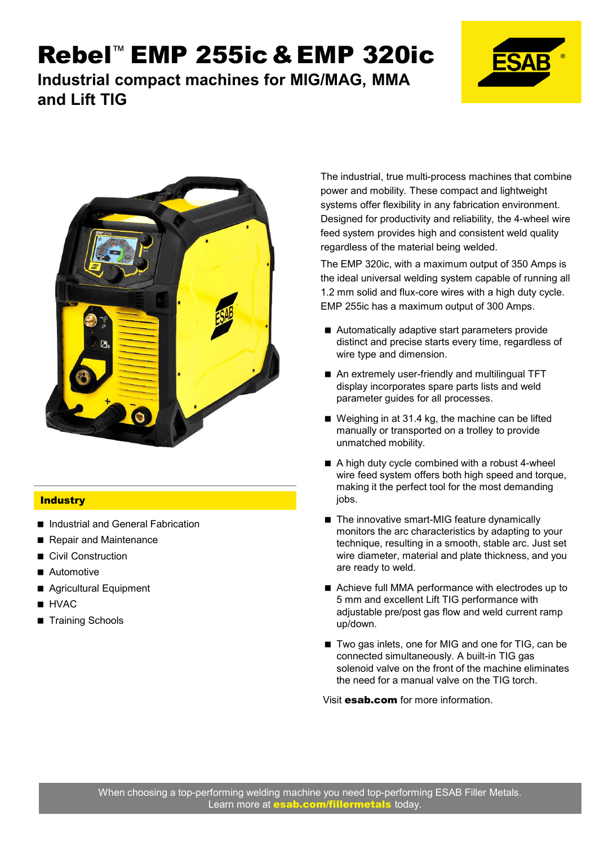**Industrial compact machines for MIG/MAG, MMA and Lift TIG**





#### **Industry**

- Industrial and General Fabrication
- Repair and Maintenance
- Civil Construction
- Automotive
- Agricultural Equipment
- **HVAC**
- Training Schools

The industrial, true multi-process machines that combine power and mobility. These compact and lightweight systems offer flexibility in any fabrication environment. Designed for productivity and reliability, the 4-wheel wire feed system provides high and consistent weld quality regardless of the material being welded.

The EMP 320ic, with a maximum output of 350 Amps is the ideal universal welding system capable of running all 1.2 mm solid and flux-core wires with a high duty cycle. EMP 255ic has a maximum output of 300 Amps.

- Automatically adaptive start parameters provide distinct and precise starts every time, regardless of wire type and dimension.
- An extremely user-friendly and multilingual TFT display incorporates spare parts lists and weld parameter guides for all processes.
- Weighing in at 31.4 kg, the machine can be lifted manually or transported on a trolley to provide unmatched mobility.
- A high duty cycle combined with a robust 4-wheel wire feed system offers both high speed and torque, making it the perfect tool for the most demanding jobs.
- The innovative smart-MIG feature dynamically monitors the arc characteristics by adapting to your technique, resulting in a smooth, stable arc. Just set wire diameter, material and plate thickness, and you are ready to weld.
- Achieve full MMA performance with electrodes up to 5 mm and excellent Lift TIG performance with adjustable pre/post gas flow and weld current ramp up/down.
- Two gas inlets, one for MIG and one for TIG, can be connected simultaneously. A built-in TIG gas solenoid valve on the front of the machine eliminates the need for a manual valve on the TIG torch.

Visit esab.com for more information.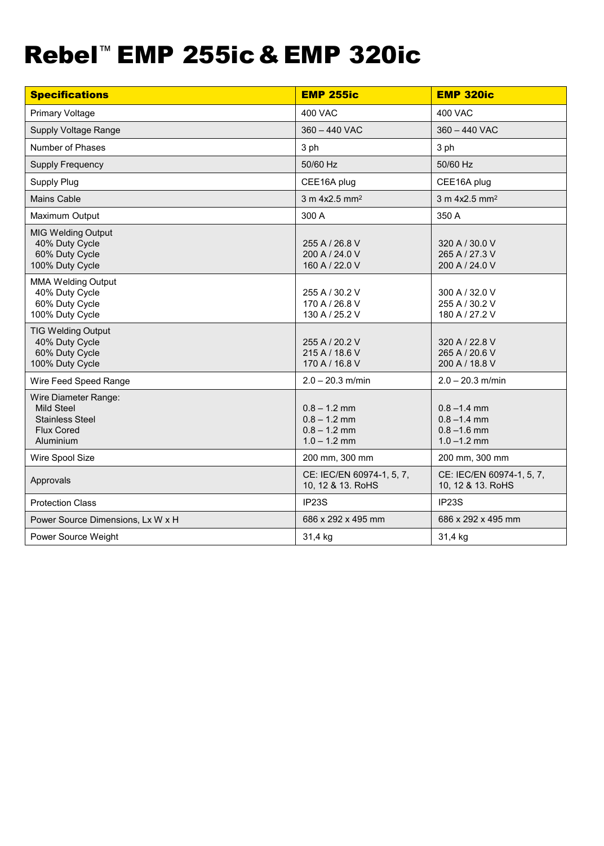| <b>Specifications</b>                                                                          | <b>EMP 255ic</b>                                                     | <b>EMP 320ic</b>                                                     |
|------------------------------------------------------------------------------------------------|----------------------------------------------------------------------|----------------------------------------------------------------------|
| <b>Primary Voltage</b>                                                                         | <b>400 VAC</b>                                                       | <b>400 VAC</b>                                                       |
| Supply Voltage Range                                                                           | 360 - 440 VAC                                                        | 360 - 440 VAC                                                        |
| Number of Phases                                                                               | 3 ph                                                                 | 3 ph                                                                 |
| <b>Supply Frequency</b>                                                                        | 50/60 Hz                                                             | 50/60 Hz                                                             |
| Supply Plug                                                                                    | CEE16A plug                                                          | CEE16A plug                                                          |
| Mains Cable                                                                                    | 3 m 4x2.5 mm <sup>2</sup>                                            | 3 m 4x2.5 mm <sup>2</sup>                                            |
| Maximum Output                                                                                 | 300 A                                                                | 350 A                                                                |
| <b>MIG Welding Output</b><br>40% Duty Cycle<br>60% Duty Cycle<br>100% Duty Cycle               | 255 A / 26.8 V<br>200 A / 24.0 V<br>160 A / 22.0 V                   | 320 A / 30.0 V<br>265 A / 27.3 V<br>200 A / 24.0 V                   |
| <b>MMA Welding Output</b><br>40% Duty Cycle<br>60% Duty Cycle<br>100% Duty Cycle               | 255 A / 30.2 V<br>170 A / 26.8 V<br>130 A / 25.2 V                   | 300 A / 32.0 V<br>255 A / 30.2 V<br>180 A / 27.2 V                   |
| <b>TIG Welding Output</b><br>40% Duty Cycle<br>60% Duty Cycle<br>100% Duty Cycle               | 255 A / 20.2 V<br>215 A / 18.6 V<br>170 A / 16.8 V                   | 320 A / 22.8 V<br>265 A / 20.6 V<br>200 A / 18.8 V                   |
| Wire Feed Speed Range                                                                          | $2.0 - 20.3$ m/min                                                   | $2.0 - 20.3$ m/min                                                   |
| Wire Diameter Range:<br>Mild Steel<br><b>Stainless Steel</b><br><b>Flux Cored</b><br>Aluminium | $0.8 - 1.2$ mm<br>$0.8 - 1.2$ mm<br>$0.8 - 1.2$ mm<br>$1.0 - 1.2$ mm | $0.8 - 1.4$ mm<br>$0.8 - 1.4$ mm<br>$0.8 - 1.6$ mm<br>$1.0 - 1.2$ mm |
| Wire Spool Size                                                                                | 200 mm, 300 mm                                                       | 200 mm, 300 mm                                                       |
| Approvals                                                                                      | CE: IEC/EN 60974-1, 5, 7,<br>10, 12 & 13. RoHS                       | CE: IEC/EN 60974-1, 5, 7,<br>10, 12 & 13. RoHS                       |
| <b>Protection Class</b>                                                                        | IP23S                                                                | IP23S                                                                |
| Power Source Dimensions, Lx W x H                                                              | 686 x 292 x 495 mm                                                   | 686 x 292 x 495 mm                                                   |
| Power Source Weight                                                                            | 31,4 kg                                                              | 31,4 kg                                                              |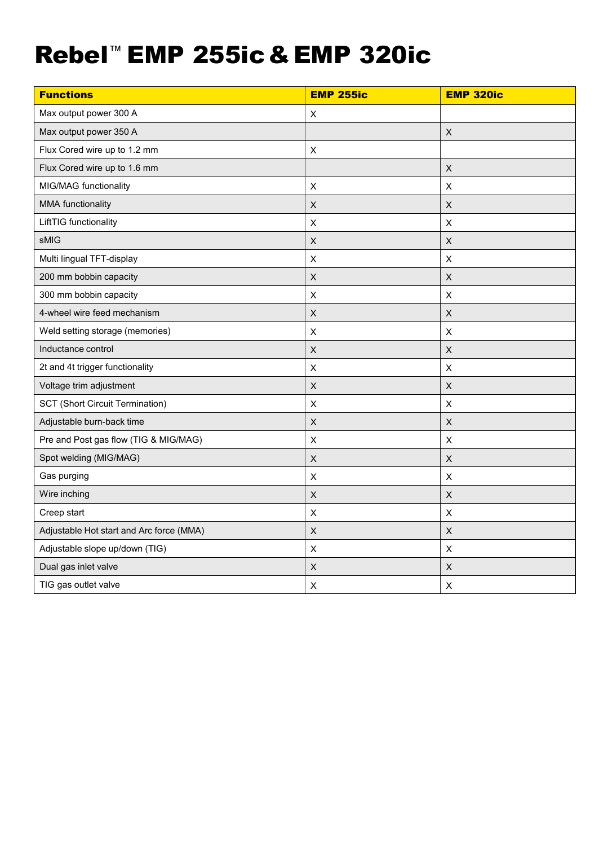| <b>Functions</b>                         | <b>EMP 255ic</b>          | <b>EMP 320ic</b>          |
|------------------------------------------|---------------------------|---------------------------|
| Max output power 300 A                   | $\pmb{\times}$            |                           |
| Max output power 350 A                   |                           | $\boldsymbol{\mathsf{X}}$ |
| Flux Cored wire up to 1.2 mm             | X                         |                           |
| Flux Cored wire up to 1.6 mm             |                           | $\boldsymbol{\mathsf{X}}$ |
| MIG/MAG functionality                    | $\mathsf X$               | $\boldsymbol{\mathsf{X}}$ |
| MMA functionality                        | $\mathsf X$               | X                         |
| LiftTIG functionality                    | $\pmb{\mathsf{X}}$        | $\pmb{\times}$            |
| sMIG                                     | $\sf X$                   | $\boldsymbol{\mathsf{X}}$ |
| Multi lingual TFT-display                | $\pmb{\times}$            | Χ                         |
| 200 mm bobbin capacity                   | $\mathsf X$               | $\boldsymbol{\mathsf{X}}$ |
| 300 mm bobbin capacity                   | $\pmb{\times}$            | $\pmb{\times}$            |
| 4-wheel wire feed mechanism              | $\boldsymbol{\mathsf{X}}$ | X                         |
| Weld setting storage (memories)          | $\mathsf X$               | $\boldsymbol{\mathsf{X}}$ |
| Inductance control                       | $\mathsf X$               | $\boldsymbol{\mathsf{X}}$ |
| 2t and 4t trigger functionality          | $\pmb{\times}$            | X                         |
| Voltage trim adjustment                  | $\sf X$                   | $\boldsymbol{\mathsf{X}}$ |
| <b>SCT (Short Circuit Termination)</b>   | $\pmb{\times}$            | X                         |
| Adjustable burn-back time                | $\mathsf X$               | $\boldsymbol{\mathsf{X}}$ |
| Pre and Post gas flow (TIG & MIG/MAG)    | $\pmb{\mathsf{X}}$        | $\pmb{\times}$            |
| Spot welding (MIG/MAG)                   | $\mathsf X$               | $\pmb{\times}$            |
| Gas purging                              | $\pmb{\times}$            | $\pmb{\times}$            |
| Wire inching                             | $\pmb{\mathsf{X}}$        | $\boldsymbol{\mathsf{X}}$ |
| Creep start                              | $\sf X$                   | $\mathsf X$               |
| Adjustable Hot start and Arc force (MMA) | $\boldsymbol{\mathsf{X}}$ | $\boldsymbol{\mathsf{X}}$ |
| Adjustable slope up/down (TIG)           | $\pmb{\mathsf{X}}$        | $\pmb{\times}$            |
| Dual gas inlet valve                     | $\mathsf X$               | $\pmb{\times}$            |
| TIG gas outlet valve                     | $\boldsymbol{\mathsf{X}}$ | $\boldsymbol{\mathsf{X}}$ |